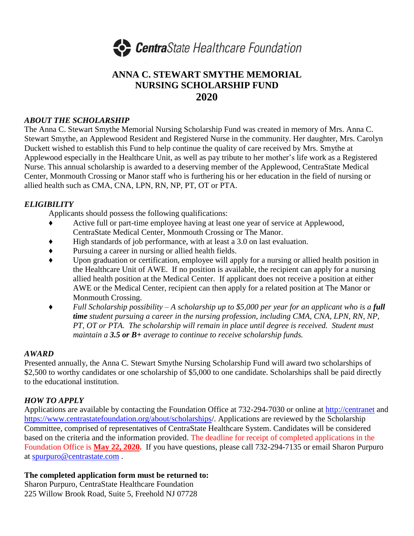

## **ANNA C. STEWART SMYTHE MEMORIAL NURSING SCHOLARSHIP FUND 2020**

#### *ABOUT THE SCHOLARSHIP*

The Anna C. Stewart Smythe Memorial Nursing Scholarship Fund was created in memory of Mrs. Anna C. Stewart Smythe, an Applewood Resident and Registered Nurse in the community. Her daughter, Mrs. Carolyn Duckett wished to establish this Fund to help continue the quality of care received by Mrs. Smythe at Applewood especially in the Healthcare Unit, as well as pay tribute to her mother's life work as a Registered Nurse. This annual scholarship is awarded to a deserving member of the Applewood, CentraState Medical Center, Monmouth Crossing or Manor staff who is furthering his or her education in the field of nursing or allied health such as CMA, CNA, LPN, RN, NP, PT, OT or PTA.

#### *ELIGIBILITY*

Applicants should possess the following qualifications:

- ♦ Active full or part-time employee having at least one year of service at Applewood, CentraState Medical Center, Monmouth Crossing or The Manor.
- ♦ High standards of job performance, with at least a 3.0 on last evaluation.
- ♦ Pursuing a career in nursing or allied health fields.
- ♦ Upon graduation or certification, employee will apply for a nursing or allied health position in the Healthcare Unit of AWE. If no position is available, the recipient can apply for a nursing allied health position at the Medical Center. If applicant does not receive a position at either AWE or the Medical Center, recipient can then apply for a related position at The Manor or Monmouth Crossing.
- ♦ *Full Scholarship possibility – A scholarship up to \$5,000 per year for an applicant who is a full time student pursuing a career in the nursing profession, including CMA, CNA, LPN, RN, NP, PT, OT or PTA. The scholarship will remain in place until degree is received. Student must maintain a 3.5 or B+ average to continue to receive scholarship funds.*

#### *AWARD*

Presented annually, the Anna C. Stewart Smythe Nursing Scholarship Fund will award two scholarships of \$2,500 to worthy candidates or one scholarship of \$5,000 to one candidate. Scholarships shall be paid directly to the educational institution.

### *HOW TO APPLY*

Applications are available by contacting the Foundation Office at 732-294-7030 or online at [http://centranet](http://centranet/) and <https://www.centrastatefoundation.org/about/scholarships/>. Applications are reviewed by the Scholarship Committee, comprised of representatives of CentraState Healthcare System. Candidates will be considered based on the criteria and the information provided. The deadline for receipt of completed applications in the Foundation Office is **May 22, 2020.** If you have questions, please call 732-294-7135 or email Sharon Purpuro at [spurpuro@centrastate.com](mailto:spurpuro@centrastate.com) .

#### **The completed application form must be returned to:**

Sharon Purpuro, CentraState Healthcare Foundation 225 Willow Brook Road, Suite 5, Freehold NJ 07728